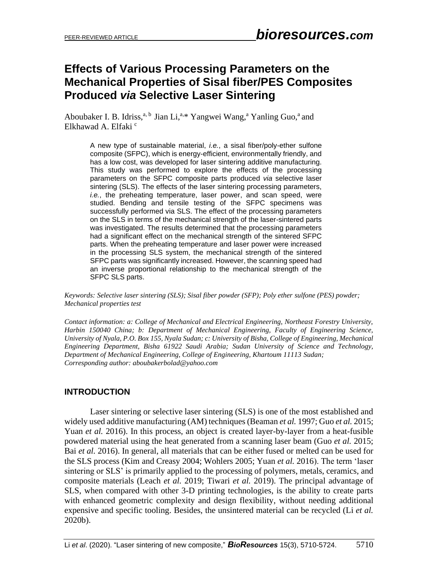# **Effects of Various Processing Parameters on the Mechanical Properties of Sisal fiber/PES Composites Produced** *via* **Selective Laser Sintering**

Aboubaker I. B. Idriss,<sup>a, b</sup> Jian Li,<sup>a,\*</sup> Yangwei Wang,<sup>a</sup> Yanling Guo,<sup>a</sup> and Elkhawad A. Elfaki c

> A new type of sustainable material, *i.e.*, a sisal fiber/poly-ether sulfone composite (SFPC), which is energy-efficient, environmentally friendly, and has a low cost, was developed for laser sintering additive manufacturing. This study was performed to explore the effects of the processing parameters on the SFPC composite parts produced *via* selective laser sintering (SLS). The effects of the laser sintering processing parameters, *i.e.*, the preheating temperature, laser power, and scan speed, were studied. Bending and tensile testing of the SFPC specimens was successfully performed via SLS. The effect of the processing parameters on the SLS in terms of the mechanical strength of the laser-sintered parts was investigated. The results determined that the processing parameters had a significant effect on the mechanical strength of the sintered SFPC parts. When the preheating temperature and laser power were increased in the processing SLS system, the mechanical strength of the sintered SFPC parts was significantly increased. However, the scanning speed had an inverse proportional relationship to the mechanical strength of the SFPC SLS parts.

*Keywords: Selective laser sintering (SLS); Sisal fiber powder (SFP); Poly ether sulfone (PES) powder; Mechanical properties test*

*Contact information: a: College of Mechanical and Electrical Engineering, Northeast Forestry University, Harbin 150040 China; b: Department of Mechanical Engineering, Faculty of Engineering Science, University of Nyala, P.O. Box 155, Nyala Sudan; c: University of Bisha, College of Engineering, Mechanical Engineering Department, Bisha 61922 Saudi Arabia; Sudan University of Science and Technology, Department of Mechanical Engineering, College of Engineering, Khartoum 11113 Sudan; Corresponding author: aboubakerbolad@yahoo.com*

### **INTRODUCTION**

Laser sintering or selective laser sintering (SLS) is one of the most established and widely used additive manufacturing (AM) techniques (Beaman *et al.* 1997; Guo *et al.* 2015; Yuan *et al.* 2016). In this process, an object is created layer-by-layer from a heat-fusible powdered material using the heat generated from a scanning laser beam (Guo *et al.* 2015; Bai *et al.* 2016). In general, all materials that can be either fused or melted can be used for the SLS process (Kim and Creasy 2004; Wohlers 2005; Yuan *et al.* 2016). The term 'laser sintering or SLS' is primarily applied to the processing of polymers, metals, ceramics, and composite materials (Leach *et al.* 2019; Tiwari *et al.* 2019). The principal advantage of SLS, when compared with other 3-D printing technologies, is the ability to create parts with enhanced geometric complexity and design flexibility, without needing additional expensive and specific tooling. Besides, the unsintered material can be recycled (Li *et al.* 2020b).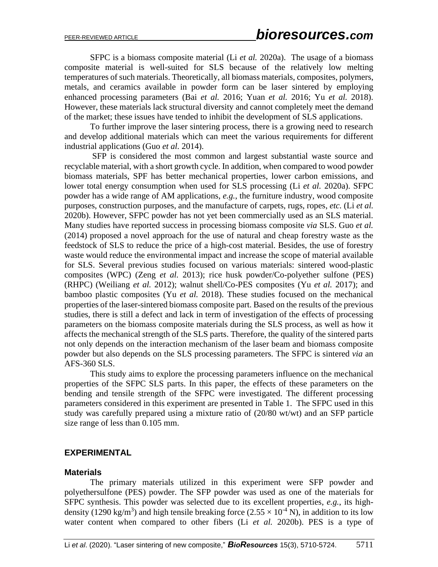SFPC is a biomass composite material (Li *et al.* 2020a). The usage of a biomass composite material is well-suited for SLS because of the relatively low melting temperatures of such materials. Theoretically, all biomass materials, composites, polymers, metals, and ceramics available in powder form can be laser sintered by employing enhanced processing parameters (Bai *et al.* 2016; Yuan *et al.* 2016; Yu *et al.* 2018). However, these materials lack structural diversity and cannot completely meet the demand of the market; these issues have tended to inhibit the development of SLS applications.

To further improve the laser sintering process, there is a growing need to research and develop additional materials which can meet the various requirements for different industrial applications (Guo *et al.* 2014).

SFP is considered the most common and largest substantial waste source and recyclable material, with a short growth cycle. In addition, when compared to wood powder biomass materials, SPF has better mechanical properties, lower carbon emissions, and lower total energy consumption when used for SLS processing (Li *et al.* 2020a). SFPC powder has a wide range of AM applications, *e.g.*, the furniture industry, wood composite purposes, construction purposes, and the manufacture of carpets, rugs, ropes, *etc.* (Li *et al.* 2020b). However, SFPC powder has not yet been commercially used as an SLS material. Many studies have reported success in processing biomass composite *via* SLS. Guo *et al.*  (2014) proposed a novel approach for the use of natural and cheap forestry waste as the feedstock of SLS to reduce the price of a high-cost material. Besides, the use of forestry waste would reduce the environmental impact and increase the scope of material available for SLS. Several previous studies focused on various materials: sintered wood-plastic composites (WPC) (Zeng *et al.* 2013); rice husk powder/Co-polyether sulfone (PES) (RHPC) (Weiliang *et al.* 2012); walnut shell/Co-PES composites (Yu *et al.* 2017); and bamboo plastic composites (Yu *et al.* 2018). These studies focused on the mechanical properties of the laser-sintered biomass composite part. Based on the results of the previous studies, there is still a defect and lack in term of investigation of the effects of processing parameters on the biomass composite materials during the SLS process, as well as how it affects the mechanical strength of the SLS parts. Therefore, the quality of the sintered parts not only depends on the interaction mechanism of the laser beam and biomass composite powder but also depends on the SLS processing parameters. The SFPC is sintered *via* an AFS-360 SLS.

This study aims to explore the processing parameters influence on the mechanical properties of the SFPC SLS parts. In this paper, the effects of these parameters on the bending and tensile strength of the SFPC were investigated. The different processing parameters considered in this experiment are presented in Table 1. The SFPC used in this study was carefully prepared using a mixture ratio of (20/80 wt/wt) and an SFP particle size range of less than 0.105 mm.

#### **EXPERIMENTAL**

#### **Materials**

The primary materials utilized in this experiment were SFP powder and polyethersulfone (PES) powder. The SFP powder was used as one of the materials for SFPC synthesis. This powder was selected due to its excellent properties, *e.g.*, its highdensity (1290 kg/m<sup>3</sup>) and high tensile breaking force (2.55  $\times$  10<sup>-4</sup> N), in addition to its low water content when compared to other fibers (Li *et al.* 2020b). PES is a type of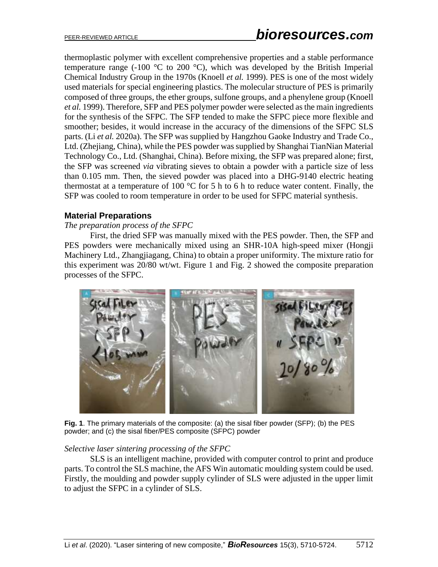thermoplastic polymer with excellent comprehensive properties and a stable performance temperature range (-100  $\degree$ C to 200  $\degree$ C), which was developed by the British Imperial Chemical Industry Group in the 1970s (Knoell *et al.* 1999). PES is one of the most widely used materials for special engineering plastics. The molecular structure of PES is primarily composed of three groups, the ether groups, sulfone groups, and a phenylene group (Knoell *et al.* 1999). Therefore, SFP and PES polymer powder were selected as the main ingredients for the synthesis of the SFPC. The SFP tended to make the SFPC piece more flexible and smoother; besides, it would increase in the accuracy of the dimensions of the SFPC SLS parts. (Li *et al.* 2020a). The SFP was supplied by Hangzhou Gaoke Industry and Trade Co., Ltd. (Zhejiang, China), while the PES powder was supplied by Shanghai TianNian Material Technology Co., Ltd. (Shanghai, China). Before mixing, the SFP was prepared alone; first, the SFP was screened *via* vibrating sieves to obtain a powder with a particle size of less than 0.105 mm. Then, the sieved powder was placed into a DHG-9140 electric heating thermostat at a temperature of 100  $\degree$ C for 5 h to 6 h to reduce water content. Finally, the SFP was cooled to room temperature in order to be used for SFPC material synthesis.

### **Material Preparations**

### *The preparation process of the SFPC*

First, the dried SFP was manually mixed with the PES powder. Then, the SFP and PES powders were mechanically mixed using an SHR-10A high-speed mixer (Hongji Machinery Ltd., Zhangjiagang, China) to obtain a proper uniformity. The mixture ratio for this experiment was 20/80 wt/wt. Figure 1 and Fig. 2 showed the composite preparation processes of the SFPC.



**Fig. 1**. The primary materials of the composite: (a) the sisal fiber powder (SFP); (b) the PES powder; and (c) the sisal fiber/PES composite (SFPC) powder

#### *Selective laser sintering processing of the SFPC*

SLS is an intelligent machine, provided with computer control to print and produce parts. To control the SLS machine, the AFS Win automatic moulding system could be used. Firstly, the moulding and powder supply cylinder of SLS were adjusted in the upper limit to adjust the SFPC in a cylinder of SLS.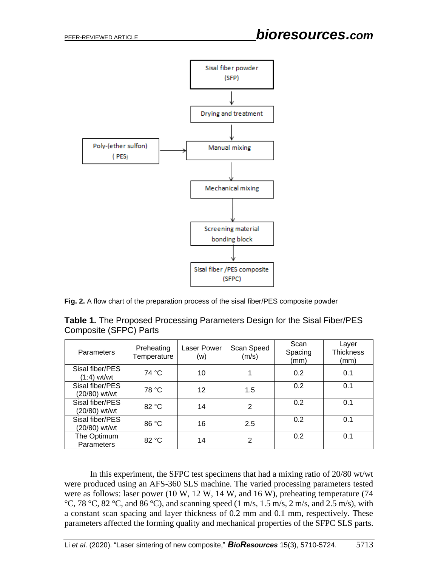

**Fig. 2.** A flow chart of the preparation process of the sisal fiber/PES composite powder

| <b>Table 1.</b> The Proposed Processing Parameters Design for the Sisal Fiber/PES |  |
|-----------------------------------------------------------------------------------|--|
| Composite (SFPC) Parts                                                            |  |

| Parameters                       | Preheating<br>Temperature | <b>Laser Power</b><br>(w) | Scan Speed<br>(m/s) | Scan<br>Spacing<br>(mm) | Layer<br><b>Thickness</b><br>(mm) |
|----------------------------------|---------------------------|---------------------------|---------------------|-------------------------|-----------------------------------|
| Sisal fiber/PES<br>$(1:4)$ wt/wt | 74 °C                     | 10                        | 1                   | 0.2                     | 0.1                               |
| Sisal fiber/PES<br>(20/80) wt/wt | 78 °C                     | 12                        | 1.5                 | 0.2                     | 0.1                               |
| Sisal fiber/PES<br>(20/80) wt/wt | 82 °C                     | 14                        | $\overline{2}$      | 0.2                     | 0.1                               |
| Sisal fiber/PES<br>(20/80) wt/wt | 86 °C                     | 16                        | 2.5                 | 0.2                     | 0.1                               |
| The Optimum<br>Parameters        | 82 °C                     | 14                        | $\overline{2}$      | 0.2                     | 0.1                               |

In this experiment, the SFPC test specimens that had a mixing ratio of 20/80 wt/wt were produced using an AFS-360 SLS machine. The varied processing parameters tested were as follows: laser power (10 W, 12 W, 14 W, and 16 W), preheating temperature (74  $^{\circ}$ C, 78  $^{\circ}$ C, 82  $^{\circ}$ C, and 86  $^{\circ}$ C), and scanning speed (1 m/s, 1.5 m/s, 2 m/s, and 2.5 m/s), with a constant scan spacing and layer thickness of 0.2 mm and 0.1 mm, respectively. These parameters affected the forming quality and mechanical properties of the SFPC SLS parts.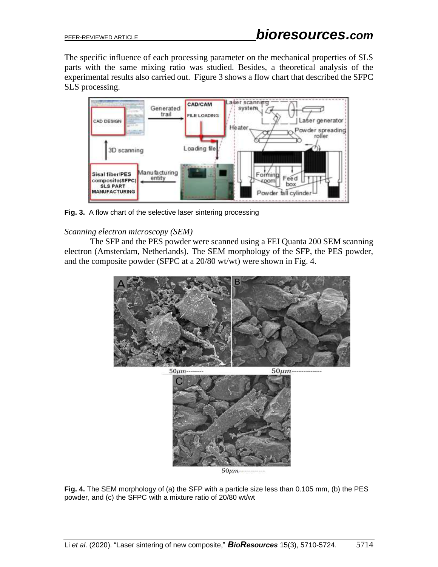The specific influence of each processing parameter on the mechanical properties of SLS parts with the same mixing ratio was studied. Besides, a theoretical analysis of the experimental results also carried out. Figure 3 shows a flow chart that described the SFPC SLS processing.



**Fig. 3.** A flow chart of the selective laser sintering processing

### *Scanning electron microscopy (SEM)*

The SFP and the PES powder were scanned using a FEI Quanta 200 SEM scanning electron (Amsterdam, Netherlands). The SEM morphology of the SFP, the PES powder, and the composite powder (SFPC at a 20/80 wt/wt) were shown in Fig. 4.



**Fig. 4.** The SEM morphology of (a) the SFP with a particle size less than 0.105 mm, (b) the PES powder, and (c) the SFPC with a mixture ratio of 20/80 wt/wt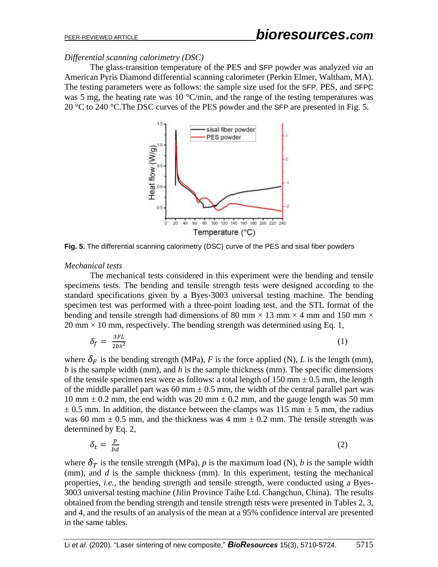*Differential scanning calorimetry (DSC)*

The glass-transition temperature of the PES and SFP powder was analyzed *via* an American Pyris Diamond differential scanning calorimeter (Perkin Elmer, Waltham, MA). The testing parameters were as follows: the sample size used for the SFP, PES, and SFPC was 5 mg, the heating rate was 10  $^{\circ}$ C/min, and the range of the testing temperatures was 20 °C to 240 °C.The DSC curves of the PES powder and the SFP are presented in Fig. 5.



**Fig. 5.** The differential scanning calorimetry (DSC) curve of the PES and sisal fiber powders

#### *Mechanical tests*

The mechanical tests considered in this experiment were the bending and tensile specimens tests. The bending and tensile strength tests were designed according to the standard specifications given by a Byes-3003 universal testing machine. The bending specimen test was performed with a three-point loading test, and the STL format of the bending and tensile strength had dimensions of 80 mm  $\times$  13 mm  $\times$  4 mm and 150 mm  $\times$  $20 \text{ mm} \times 10 \text{ mm}$ , respectively. The bending strength was determined using Eq. 1,

$$
\delta_f = \frac{3FL}{2bh^2} \tag{1}
$$

where  $\delta_F$  is the bending strength (MPa), *F* is the force applied (N), *L* is the length (mm), *b* is the sample width (mm), and *h* is the sample thickness (mm). The specific dimensions of the tensile specimen test were as follows: a total length of  $150 \text{ mm} \pm 0.5 \text{ mm}$ , the length of the middle parallel part was 60 mm  $\pm$  0.5 mm, the width of the central parallel part was 10 mm  $\pm$  0.2 mm, the end width was 20 mm  $\pm$  0.2 mm, and the gauge length was 50 mm  $\pm$  0.5 mm. In addition, the distance between the clamps was 115 mm  $\pm$  5 mm, the radius was 60 mm  $\pm$  0.5 mm, and the thickness was 4 mm  $\pm$  0.2 mm. The tensile strength was determined by Eq. 2,

$$
\delta_t = \frac{p}{bd} \tag{2}
$$

where  $\delta_T$  is the tensile strength (MPa), *p* is the maximum load (N), *b* is the sample width (mm), and *d* is the sample thickness (mm). In this experiment, testing the mechanical properties, *i.e.*, the bending strength and tensile strength, were conducted using a Byes-3003 universal testing machine (Jilin Province Taihe Ltd. Changchun, China). The results obtained from the bending strength and tensile strength tests were presented in Tables 2, 3, and 4, and the results of an analysis of the mean at a 95% confidence interval are presented in the same tables.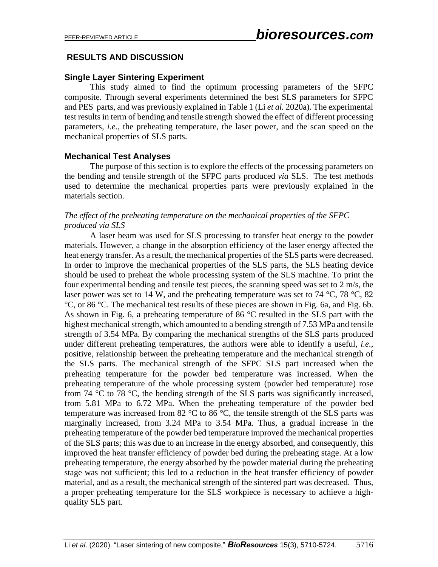# **RESULTS AND DISCUSSION**

### **Single Layer Sintering Experiment**

This study aimed to find the optimum processing parameters of the SFPC composite. Through several experiments determined the best SLS parameters for SFPC and PES parts, and was previously explained in Table 1 (Li *et al.* 2020a). The experimental test results in term of bending and tensile strength showed the effect of different processing parameters, *i.e.*, the preheating temperature, the laser power, and the scan speed on the mechanical properties of SLS parts.

### **Mechanical Test Analyses**

The purpose of this section is to explore the effects of the processing parameters on the bending and tensile strength of the SFPC parts produced *via* SLS. The test methods used to determine the mechanical properties parts were previously explained in the materials section.

#### *The effect of the preheating temperature on the mechanical properties of the SFPC produced via SLS*

A laser beam was used for SLS processing to transfer heat energy to the powder materials. However, a change in the absorption efficiency of the laser energy affected the heat energy transfer. As a result, the mechanical properties of the SLS parts were decreased. In order to improve the mechanical properties of the SLS parts, the SLS heating device should be used to preheat the whole processing system of the SLS machine. To print the four experimental bending and tensile test pieces, the scanning speed was set to 2 m/s, the laser power was set to 14 W, and the preheating temperature was set to 74 °C, 78 °C, 82 °C, or 86 °C. The mechanical test results of these pieces are shown in Fig. 6a, and Fig. 6b. As shown in Fig. 6, a preheating temperature of 86 °C resulted in the SLS part with the highest mechanical strength, which amounted to a bending strength of 7.53 MPa and tensile strength of 3.54 MPa. By comparing the mechanical strengths of the SLS parts produced under different preheating temperatures, the authors were able to identify a useful, *i.e.*, positive, relationship between the preheating temperature and the mechanical strength of the SLS parts. The mechanical strength of the SFPC SLS part increased when the preheating temperature for the powder bed temperature was increased. When the preheating temperature of the whole processing system (powder bed temperature) rose from 74 °C to 78 °C, the bending strength of the SLS parts was significantly increased, from 5.81 MPa to 6.72 MPa. When the preheating temperature of the powder bed temperature was increased from 82  $\degree$ C to 86  $\degree$ C, the tensile strength of the SLS parts was marginally increased, from 3.24 MPa to 3.54 MPa. Thus, a gradual increase in the preheating temperature of the powder bed temperature improved the mechanical properties of the SLS parts; this was due to an increase in the energy absorbed, and consequently, this improved the heat transfer efficiency of powder bed during the preheating stage. At a low preheating temperature, the energy absorbed by the powder material during the preheating stage was not sufficient; this led to a reduction in the heat transfer efficiency of powder material, and as a result, the mechanical strength of the sintered part was decreased. Thus, a proper preheating temperature for the SLS workpiece is necessary to achieve a highquality SLS part.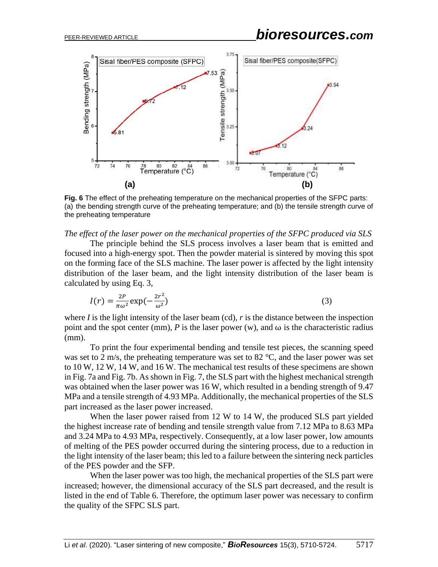

**Fig. 6** The effect of the preheating temperature on the mechanical properties of the SFPC parts: (a) the bending strength curve of the preheating temperature; and (b) the tensile strength curve of the preheating temperature

*The effect of the laser power on the mechanical properties of the SFPC produced via SLS*

The principle behind the SLS process involves a laser beam that is emitted and focused into a high-energy spot. Then the powder material is sintered by moving this spot on the forming face of the SLS machine. The laser power is affected by the light intensity distribution of the laser beam, and the light intensity distribution of the laser beam is calculated by using Eq. 3,

$$
I(r) = \frac{2P}{\pi\omega^2} \exp\left(-\frac{2r^2}{\omega^2}\right) \tag{3}
$$

where  $I$  is the light intensity of the laser beam (cd),  $r$  is the distance between the inspection point and the spot center (mm),  $P$  is the laser power (w), and  $\omega$  is the characteristic radius (mm).

To print the four experimental bending and tensile test pieces, the scanning speed was set to 2 m/s, the preheating temperature was set to 82  $^{\circ}$ C, and the laser power was set to 10 W, 12 W, 14 W, and 16 W. The mechanical test results of these specimens are shown in Fig. 7a and Fig. 7b. As shown in Fig. 7, the SLS part with the highest mechanical strength was obtained when the laser power was 16 W, which resulted in a bending strength of 9.47 MPa and a tensile strength of 4.93 MPa. Additionally, the mechanical properties of the SLS part increased as the laser power increased.

When the laser power raised from 12 W to 14 W, the produced SLS part yielded the highest increase rate of bending and tensile strength value from 7.12 MPa to 8.63 MPa and 3.24 MPa to 4.93 MPa, respectively. Consequently, at a low laser power, low amounts of melting of the PES powder occurred during the sintering process, due to a reduction in the light intensity of the laser beam; this led to a failure between the sintering neck particles of the PES powder and the SFP.

When the laser power was too high, the mechanical properties of the SLS part were increased; however, the dimensional accuracy of the SLS part decreased, and the result is listed in the end of Table 6. Therefore, the optimum laser power was necessary to confirm the quality of the SFPC SLS part.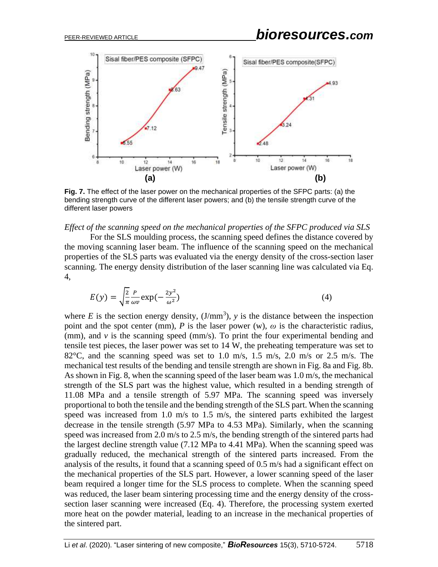

**Fig. 7.** The effect of the laser power on the mechanical properties of the SFPC parts: (a) the bending strength curve of the different laser powers; and (b) the tensile strength curve of the different laser powers

*Effect of the scanning speed on the mechanical properties of the SFPC produced via SLS*

For the SLS moulding process, the scanning speed defines the distance covered by the moving scanning laser beam. The influence of the scanning speed on the mechanical properties of the SLS parts was evaluated via the energy density of the cross-section laser scanning. The energy density distribution of the laser scanning line was calculated via Eq. 4,

$$
E(y) = \sqrt{\frac{2}{\pi}} \frac{P}{\omega v} \exp(-\frac{2y^2}{\omega^2})
$$
 (4)

where  $E$  is the section energy density,  $(J/mm^3)$ ,  $y$  is the distance between the inspection point and the spot center (mm), *P* is the laser power (w),  $\omega$  is the characteristic radius, (mm), and *v* is the scanning speed (mm/s). To print the four experimental bending and tensile test pieces, the laser power was set to 14 W, the preheating temperature was set to 82 $^{\circ}$ C, and the scanning speed was set to 1.0 m/s, 1.5 m/s, 2.0 m/s or 2.5 m/s. The mechanical test results of the bending and tensile strength are shown in Fig. 8a and Fig. 8b. As shown in Fig. 8, when the scanning speed of the laser beam was 1.0 m/s, the mechanical strength of the SLS part was the highest value, which resulted in a bending strength of 11.08 MPa and a tensile strength of 5.97 MPa. The scanning speed was inversely proportional to both the tensile and the bending strength of the SLS part. When the scanning speed was increased from 1.0 m/s to 1.5 m/s, the sintered parts exhibited the largest decrease in the tensile strength (5.97 MPa to 4.53 MPa). Similarly, when the scanning speed was increased from 2.0 m/s to 2.5 m/s, the bending strength of the sintered parts had the largest decline strength value (7.12 MPa to 4.41 MPa). When the scanning speed was gradually reduced, the mechanical strength of the sintered parts increased. From the analysis of the results, it found that a scanning speed of 0.5 m/s had a significant effect on the mechanical properties of the SLS part. However, a lower scanning speed of the laser beam required a longer time for the SLS process to complete. When the scanning speed was reduced, the laser beam sintering processing time and the energy density of the crosssection laser scanning were increased (Eq. 4). Therefore, the processing system exerted more heat on the powder material, leading to an increase in the mechanical properties of the sintered part.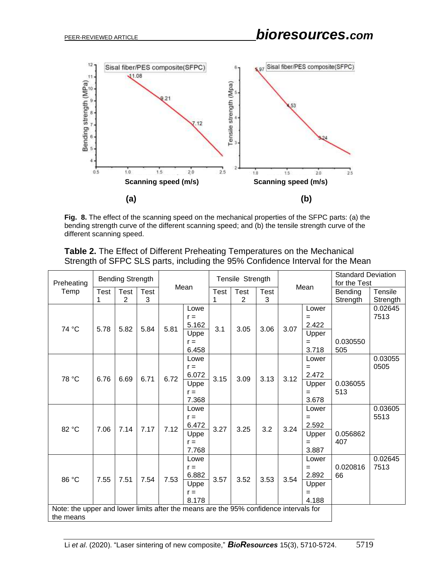

**Fig. 8.** The effect of the scanning speed on the mechanical properties of the SFPC parts: (a) the bending strength curve of the different scanning speed; and (b) the tensile strength curve of the different scanning speed.

|  |  | <b>Table 2.</b> The Effect of Different Preheating Temperatures on the Mechanical |  |
|--|--|-----------------------------------------------------------------------------------|--|
|  |  | Strength of SFPC SLS parts, including the 95% Confidence Interval for the Mean    |  |

| Preheating                                                                            |             | <b>Bending Strength</b> |      |      |                |             | Tensile Strength |             |      |                | <b>Standard Deviation</b><br>for the Test |          |
|---------------------------------------------------------------------------------------|-------------|-------------------------|------|------|----------------|-------------|------------------|-------------|------|----------------|-------------------------------------------|----------|
| Temp                                                                                  | <b>Test</b> | <b>Test</b>             | Test | Mean |                | <b>Test</b> | <b>Test</b>      | <b>Test</b> | Mean |                | Bending                                   | Tensile  |
|                                                                                       | 1           | 2                       | 3    |      |                |             | 2                | 3           |      |                | Strength                                  | Strength |
|                                                                                       |             |                         |      |      | Lowe           |             |                  |             |      | Lower          |                                           | 0.02645  |
|                                                                                       |             |                         |      |      | $r =$          |             |                  |             |      | $=$            |                                           | 7513     |
| 74 °C                                                                                 | 5.78        | 5.82                    | 5.84 | 5.81 | 5.162          | 3.1         | 3.05             | 3.06        | 3.07 | 2.422          |                                           |          |
|                                                                                       |             |                         |      |      | Uppe           |             |                  |             |      | Upper          |                                           |          |
|                                                                                       |             |                         |      |      | $r =$          |             |                  |             |      | $=$            | 0.030550                                  |          |
|                                                                                       |             |                         |      |      | 6.458<br>Lowe  |             |                  |             |      | 3.718<br>Lower | 505                                       | 0.03055  |
|                                                                                       |             |                         |      |      | $r =$          |             |                  |             |      | $=$            |                                           | 0505     |
|                                                                                       |             |                         |      |      | 6.072          |             |                  |             |      | 2.472          |                                           |          |
| 78 °C                                                                                 | 6.76        | 6.69                    | 6.71 | 6.72 | Uppe           | 3.15        | 3.09             | 3.13        | 3.12 | Upper          | 0.036055                                  |          |
|                                                                                       |             |                         |      |      | $r =$          |             |                  |             |      | $=$            | 513                                       |          |
|                                                                                       |             |                         |      |      | 7.368          |             |                  |             |      | 3.678          |                                           |          |
|                                                                                       |             |                         |      |      | Lowe           |             |                  |             |      | Lower          |                                           | 0.03605  |
|                                                                                       |             |                         |      |      | $r =$          |             |                  |             |      | $=$            |                                           | 5513     |
| 82 °C                                                                                 | 7.06        | 7.14                    | 7.17 | 7.12 | 6.472          | 3.27        | 3.25             | 3.2         | 3.24 | 2.592          |                                           |          |
|                                                                                       |             |                         |      |      | Uppe           |             |                  |             |      | Upper          | 0.056862                                  |          |
|                                                                                       |             |                         |      |      | $r =$          |             |                  |             |      | $=$            | 407                                       |          |
|                                                                                       |             |                         |      |      | 7.768          |             |                  |             |      | 3.887          |                                           |          |
|                                                                                       |             |                         |      |      | Lowe           |             |                  |             |      | Lower          |                                           | 0.02645  |
|                                                                                       |             |                         |      |      | $r =$          |             |                  |             |      | $=$            | 0.020816                                  | 7513     |
| 86 °C                                                                                 | 7.55        | 7.51                    | 7.54 | 7.53 | 6.882          | 3.57        | 3.52             | 3.53        | 3.54 | 2.892          | 66                                        |          |
|                                                                                       |             |                         |      |      | Uppe           |             |                  |             |      | Upper          |                                           |          |
|                                                                                       |             |                         |      |      | $r =$<br>8.178 |             |                  |             |      | $=$<br>4.188   |                                           |          |
| Note: the upper and lower limits after the means are the 95% confidence intervals for |             |                         |      |      |                |             |                  |             |      |                |                                           |          |
| the means                                                                             |             |                         |      |      |                |             |                  |             |      |                |                                           |          |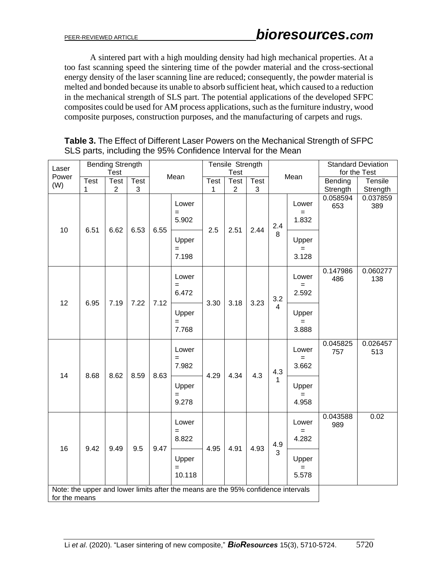A sintered part with a high moulding density had high mechanical properties. At a too fast scanning speed the sintering time of the powder material and the cross-sectional energy density of the laser scanning line are reduced; consequently, the powder material is melted and bonded because its unable to absorb sufficient heat, which caused to a reduction in the mechanical strength of SLS part. The potential applications of the developed SFPC composites could be used for AM process applications, such as the furniture industry, wood composite purposes, construction purposes, and the manufacturing of carpets and rugs.

**Table 3.** The Effect of Different Laser Powers on the Mechanical Strength of SFPC SLS parts, including the 95% Confidence Interval for the Mean

| Laser         |                      | <b>Bending Strength</b><br><b>Test</b> |      |                                                    | Tensile Strength<br><b>Test</b>                                                   |                       |                |                       |                       |                       |                 | <b>Standard Deviation</b><br>for the Test |                       |                 |                 |
|---------------|----------------------|----------------------------------------|------|----------------------------------------------------|-----------------------------------------------------------------------------------|-----------------------|----------------|-----------------------|-----------------------|-----------------------|-----------------|-------------------------------------------|-----------------------|-----------------|-----------------|
| Power         | <b>Test</b>          | Test                                   | Test | Mean<br>Mean<br>Test<br><b>Test</b><br><b>Test</b> |                                                                                   |                       | Bending        | Tensile               |                       |                       |                 |                                           |                       |                 |                 |
| (W)           | 1                    | $\overline{2}$                         | 3    |                                                    |                                                                                   | 1                     | $\overline{2}$ | 3                     |                       |                       | Strength        | Strength                                  |                       |                 |                 |
| 10            | 6.51<br>6.62<br>6.53 |                                        | 6.55 | Lower<br>$=$<br>5.902                              |                                                                                   | 2.51                  | 2.44           | 2.4<br>8              | Lower<br>$=$<br>1.832 | 0.058594<br>653       | 0.037859<br>389 |                                           |                       |                 |                 |
|               |                      |                                        |      |                                                    | Upper<br>$=$<br>7.198                                                             |                       |                |                       |                       | Upper<br>$=$<br>3.128 |                 |                                           |                       |                 |                 |
| 12            | 6.95                 | 7.19                                   | 7.22 | 7.12                                               | Lower<br>$=$<br>6.472<br>3.18<br>3.23<br>3.30                                     |                       | 3.2            | Lower<br>$=$<br>2.592 | 0.147986<br>486       | 0.060277<br>138       |                 |                                           |                       |                 |                 |
|               |                      |                                        |      |                                                    |                                                                                   | Upper<br>$=$<br>7.768 |                |                       |                       | $\overline{4}$        | Upper<br>3.888  |                                           |                       |                 |                 |
| 14            | 8.68                 | 8.62                                   | 8.59 | 8.63                                               | Lower<br>$=$<br>7.982                                                             |                       |                |                       | 4.29                  | 4.34                  | 4.3             | 4.3                                       | Lower<br>$=$<br>3.662 | 0.045825<br>757 | 0.026457<br>513 |
|               |                      |                                        |      |                                                    | Upper<br>$=$<br>9.278                                                             |                       |                |                       | $\mathbf{1}$          | Upper<br>4.958        |                 |                                           |                       |                 |                 |
| 16            | 9.42                 | 9.49                                   | 9.5  | 9.47                                               | Lower<br>$=$<br>8.822                                                             | 4.95                  | 4.91           | 4.93                  | 4.9                   | Lower<br>4.282        | 0.043588<br>989 | 0.02                                      |                       |                 |                 |
|               |                      |                                        |      |                                                    | Upper<br>$=$<br>10.118                                                            |                       |                |                       | 3                     | Upper<br>5.578        |                 |                                           |                       |                 |                 |
| for the means |                      |                                        |      |                                                    | Note: the upper and lower limits after the means are the 95% confidence intervals |                       |                |                       |                       |                       |                 |                                           |                       |                 |                 |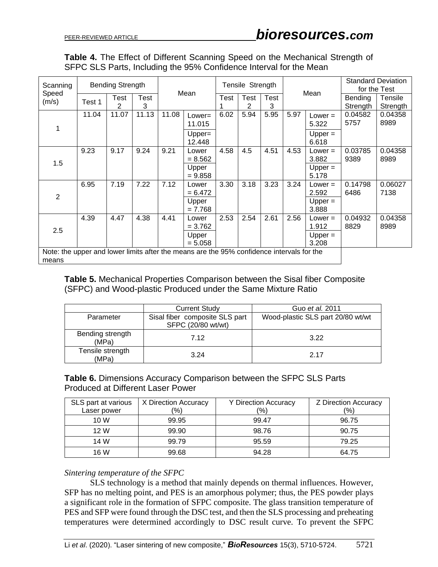|  |  |  |  |  |                                                                    | <b>Table 4.</b> The Effect of Different Scanning Speed on the Mechanical Strength of |  |
|--|--|--|--|--|--------------------------------------------------------------------|--------------------------------------------------------------------------------------|--|
|  |  |  |  |  | SFPC SLS Parts, Including the 95% Confidence Interval for the Mean |                                                                                      |  |

| Scanning                                                                                           | <b>Bending Strength</b> |           |           |       | Mean                |      | Tensile Strength |           |      |                    |                     | <b>Standard Deviation</b><br>for the Test |
|----------------------------------------------------------------------------------------------------|-------------------------|-----------|-----------|-------|---------------------|------|------------------|-----------|------|--------------------|---------------------|-------------------------------------------|
| Speed<br>(m/s)                                                                                     | Test 1                  | Test<br>2 | Test<br>3 |       |                     | Test | Test<br>2        | Test<br>3 |      | Mean               | Bending<br>Strength | Tensile<br>Strength                       |
|                                                                                                    | 11.04                   | 11.07     | 11.13     | 11.08 | $Lower =$<br>11.015 | 6.02 | 5.94             | 5.95      | 5.97 | $Lower =$<br>5.322 | 0.04582<br>5757     | 0.04358<br>8989                           |
|                                                                                                    |                         |           |           |       | $Upper =$<br>12.448 |      |                  |           |      | Upper $=$<br>6.618 |                     |                                           |
| 1.5                                                                                                | 9.23                    | 9.17      | 9.24      | 9.21  | Lower<br>$= 8.562$  | 4.58 | 4.5              | 4.51      | 4.53 | $Lower =$<br>3.882 | 0.03785<br>9389     | 0.04358<br>8989                           |
|                                                                                                    |                         |           |           |       | Upper<br>$= 9.858$  |      |                  |           |      | Upper $=$<br>5.178 |                     |                                           |
| 2                                                                                                  | 6.95                    | 7.19      | 7.22      | 7.12  | Lower<br>$= 6.472$  | 3.30 | 3.18             | 3.23      | 3.24 | $Lower =$<br>2.592 | 0.14798<br>6486     | 0.06027<br>7138                           |
|                                                                                                    |                         |           |           |       | Upper<br>$= 7.768$  |      |                  |           |      | $Upper =$<br>3.888 |                     |                                           |
| 2.5                                                                                                | 4.39                    | 4.47      | 4.38      | 4.41  | Lower<br>$= 3.762$  | 2.53 | 2.54             | 2.61      | 2.56 | $Lower =$<br>1.912 | 0.04932<br>8829     | 0.04358<br>8989                           |
|                                                                                                    |                         |           |           |       | Upper<br>$= 5.058$  |      |                  |           |      | $Upper =$<br>3.208 |                     |                                           |
| Note: the upper and lower limits after the means are the 95% confidence intervals for the<br>means |                         |           |           |       |                     |      |                  |           |      |                    |                     |                                           |

**Table 5.** Mechanical Properties Comparison between the Sisal fiber Composite (SFPC) and Wood-plastic Produced under the Same Mixture Ratio

|                           | <b>Current Study</b>                                 | Guo <i>et al.</i> 2011            |
|---------------------------|------------------------------------------------------|-----------------------------------|
| Parameter                 | Sisal fiber composite SLS part<br>SFPC (20/80 wt/wt) | Wood-plastic SLS part 20/80 wt/wt |
| Bending strength<br>(MPa) | 7.12                                                 | 3.22                              |
| Tensile strength<br>(MPa) | 3.24                                                 | 2.17                              |

#### **Table 6.** Dimensions Accuracy Comparison between the SFPC SLS Parts Produced at Different Laser Power

| SLS part at various | X Direction Accuracy | <b>Y Direction Accuracy</b> | Z Direction Accuracy |
|---------------------|----------------------|-----------------------------|----------------------|
| Laser power         | (%)                  | (%)                         | (%)                  |
| 10 W                | 99.95                | 99.47                       | 96.75                |
| 12 W                | 99.90                | 98.76                       | 90.75                |
| 14 W                | 99.79                | 95.59                       | 79.25                |
| 16 W                | 99.68                | 94.28                       | 64.75                |

#### *Sintering temperature of the SFPC*

SLS technology is a method that mainly depends on thermal influences. However, SFP has no melting point, and PES is an amorphous polymer; thus, the PES powder plays a significant role in the formation of SFPC composite. The glass transition temperature of PES and SFP were found through the DSC test, and then the SLS processing and preheating temperatures were determined accordingly to DSC result curve. To prevent the SFPC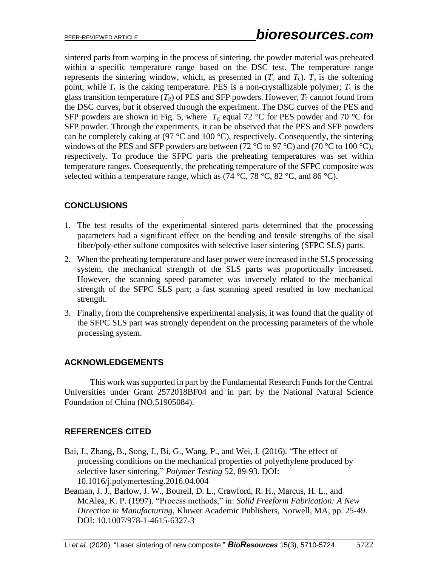sintered parts from warping in the process of sintering, the powder material was preheated within a specific temperature range based on the DSC test. The temperature range represents the sintering window, which, as presented in  $(T_s$  and  $T_c$ ).  $T_s$  is the softening point, while  $T_c$  is the caking temperature. PES is a non-crystallizable polymer;  $T_s$  is the glass transition temperature  $(T_g)$  of PES and SFP powders. However,  $T_c$  cannot found from the DSC curves, but it observed through the experiment. The DSC curves of the PES and SFP powders are shown in Fig. 5, where  $T_g$  equal 72 °C for PES powder and 70 °C for SFP powder. Through the experiments, it can be observed that the PES and SFP powders can be completely caking at (97  $\degree$ C and 100  $\degree$ C), respectively. Consequently, the sintering windows of the PES and SFP powders are between (72  $\degree$ C to 97  $\degree$ C) and (70  $\degree$ C to 100  $\degree$ C), respectively. To produce the SFPC parts the preheating temperatures was set within temperature ranges. Consequently, the preheating temperature of the SFPC composite was selected within a temperature range, which as  $(74 °C, 78 °C, 82 °C,$  and  $86 °C)$ .

# **CONCLUSIONS**

- 1. The test results of the experimental sintered parts determined that the processing parameters had a significant effect on the bending and tensile strengths of the sisal fiber/poly-ether sulfone composites with selective laser sintering (SFPC SLS) parts.
- 2. When the preheating temperature and laser power were increased in the SLS processing system, the mechanical strength of the SLS parts was proportionally increased. However, the scanning speed parameter was inversely related to the mechanical strength of the SFPC SLS part; a fast scanning speed resulted in low mechanical strength.
- 3. Finally, from the comprehensive experimental analysis, it was found that the quality of the SFPC SLS part was strongly dependent on the processing parameters of the whole processing system.

# **ACKNOWLEDGEMENTS**

This work was supported in part by the Fundamental Research Funds for the Central Universities under Grant 2572018BF04 and in part by the National Natural Science Foundation of China (NO.51905084).

# **REFERENCES CITED**

- Bai, J., Zhang, B., Song, J., Bi, G., Wang, P., and Wei, J. (2016). "The effect of processing conditions on the mechanical properties of polyethylene produced by selective laser sintering," *Polymer Testing* 52, 89-93. DOI: 10.1016/j.polymertesting.2016.04.004
- Beaman, J. J., Barlow, J. W., Bourell, D. L., Crawford, R. H., Marcus, H. L., and McAlea, K. P. (1997). "Process methods," in: *Solid Freeform Fabrication: A New Direction in Manufacturing*, Kluwer Academic Publishers, Norwell, MA, pp. 25-49. DOI: 10.1007/978-1-4615-6327-3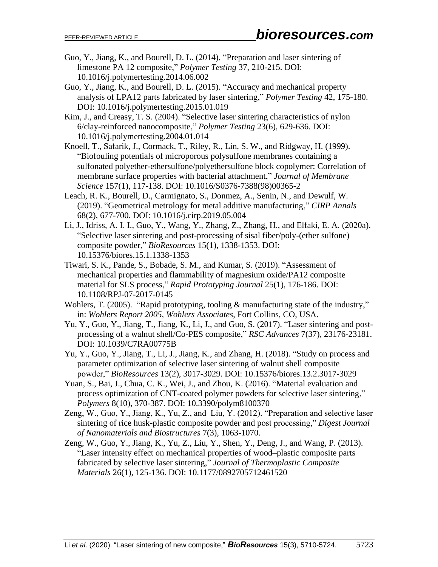- Guo, Y., Jiang, K., and Bourell, D. L. (2014). "Preparation and laser sintering of limestone PA 12 composite," *Polymer Testing* 37, 210-215. DOI: 10.1016/j.polymertesting.2014.06.002
- Guo, Y., Jiang, K., and Bourell, D. L. (2015). "Accuracy and mechanical property analysis of LPA12 parts fabricated by laser sintering," *Polymer Testing* 42, 175-180. DOI: 10.1016/j.polymertesting.2015.01.019
- Kim, J., and Creasy, T. S. (2004). "Selective laser sintering characteristics of nylon 6/clay-reinforced nanocomposite," *Polymer Testing* 23(6), 629-636. DOI: 10.1016/j.polymertesting.2004.01.014
- Knoell, T., Safarik, J., Cormack, T., Riley, R., Lin, S. W., and Ridgway, H. (1999). "Biofouling potentials of microporous polysulfone membranes containing a sulfonated polyether-ethersulfone/polyethersulfone block copolymer: Correlation of membrane surface properties with bacterial attachment," *Journal of Membrane Science* 157(1), 117-138. DOI: 10.1016/S0376-7388(98)00365-2
- Leach, R. K., Bourell, D., Carmignato, S., Donmez, A., Senin, N., and Dewulf, W. (2019). "Geometrical metrology for metal additive manufacturing," *CIRP Annals* 68(2), 677-700. DOI: 10.1016/j.cirp.2019.05.004
- Li, J., Idriss, A. I. I., Guo, Y., Wang, Y., Zhang, Z., Zhang, H., and Elfaki, E. A. (2020a). "Selective laser sintering and post-processing of sisal fiber/poly-(ether sulfone) composite powder," *BioResources* 15(1), 1338-1353. DOI: 10.15376/biores.15.1.1338-1353
- Tiwari, S. K., Pande, S., Bobade, S. M., and Kumar, S. (2019). "Assessment of mechanical properties and flammability of magnesium oxide/PA12 composite material for SLS process," *Rapid Prototyping Journal* 25(1), 176-186. DOI: 10.1108/RPJ-07-2017-0145
- Wohlers, T. (2005). "Rapid prototyping, tooling & manufacturing state of the industry," in: *Wohlers Report 2005*, *Wohlers Associates*, Fort Collins, CO, USA.
- Yu, Y., Guo, Y., Jiang, T., Jiang, K., Li, J., and Guo, S. (2017). "Laser sintering and postprocessing of a walnut shell/Co-PES composite," *RSC Advances* 7(37), 23176-23181. DOI: 10.1039/C7RA00775B
- Yu, Y., Guo, Y., Jiang, T., Li, J., Jiang, K., and Zhang, H. (2018). "Study on process and parameter optimization of selective laser sintering of walnut shell composite powder," *BioResources* 13(2), 3017-3029. DOI: 10.15376/biores.13.2.3017-3029
- Yuan, S., Bai, J., Chua, C. K., Wei, J., and Zhou, K. (2016). "Material evaluation and process optimization of CNT-coated polymer powders for selective laser sintering," *Polymers* 8(10), 370-387. DOI: 10.3390/polym8100370
- Zeng, W., Guo, Y., Jiang, K., Yu, Z., and Liu, Y. (2012). "Preparation and selective laser sintering of rice husk-plastic composite powder and post processing," *Digest Journal of Nanomaterials and Biostructures* 7(3), 1063-1070.
- Zeng, W., Guo, Y., Jiang, K., Yu, Z., Liu, Y., Shen, Y., Deng, J., and Wang, P. (2013). "Laser intensity effect on mechanical properties of wood–plastic composite parts fabricated by selective laser sintering," *Journal of Thermoplastic Composite Materials* 26(1), 125-136. DOI: 10.1177/0892705712461520